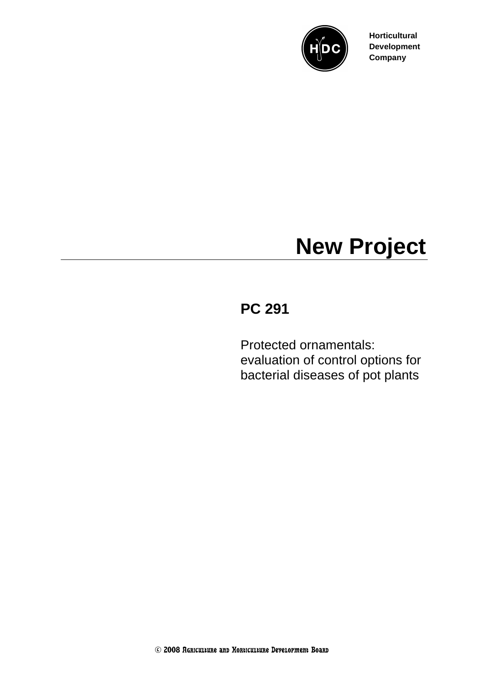

**Horticultural Development Company**

## **New Project**

## **PC 291**

Protected ornamentals: evaluation of control options for bacterial diseases of pot plants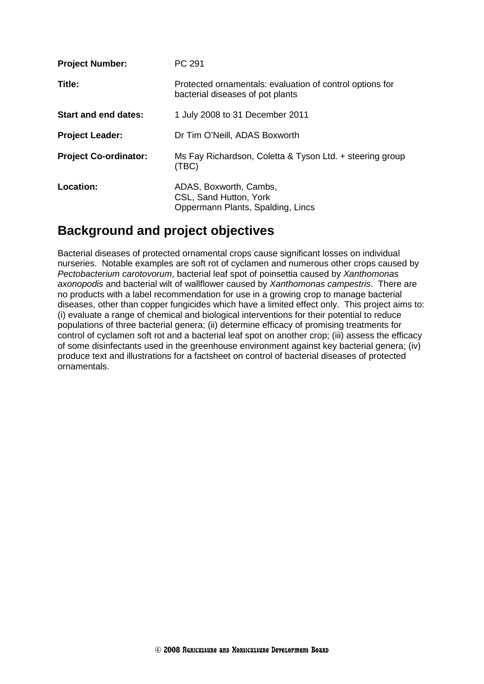| <b>Project Number:</b>       | PC 291                                                                                       |
|------------------------------|----------------------------------------------------------------------------------------------|
| Title:                       | Protected ornamentals: evaluation of control options for<br>bacterial diseases of pot plants |
| Start and end dates:         | 1 July 2008 to 31 December 2011                                                              |
| <b>Project Leader:</b>       | Dr Tim O'Neill, ADAS Boxworth                                                                |
| <b>Project Co-ordinator:</b> | Ms Fay Richardson, Coletta & Tyson Ltd. + steering group<br>(TBC)                            |
| Location:                    | ADAS, Boxworth, Cambs,<br>CSL, Sand Hutton, York<br>Oppermann Plants, Spalding, Lincs        |

## **Background and project objectives**

Bacterial diseases of protected ornamental crops cause significant losses on individual nurseries. Notable examples are soft rot of cyclamen and numerous other crops caused by *Pectobacterium carotovorum*, bacterial leaf spot of poinsettia caused by *Xanthomonas axonopodis* and bacterial wilt of wallflower caused by *Xanthomonas campestris*. There are no products with a label recommendation for use in a growing crop to manage bacterial diseases, other than copper fungicides which have a limited effect only. This project aims to: (i) evaluate a range of chemical and biological interventions for their potential to reduce populations of three bacterial genera; (ii) determine efficacy of promising treatments for control of cyclamen soft rot and a bacterial leaf spot on another crop; (iii) assess the efficacy of some disinfectants used in the greenhouse environment against key bacterial genera; (iv) produce text and illustrations for a factsheet on control of bacterial diseases of protected ornamentals.